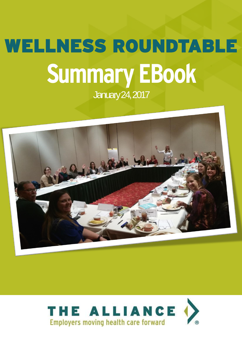# WELLNESS ROUNDTABLE **Summary EBook** January 24, 2017



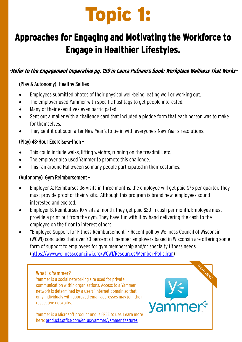## Topic 1:

## **Approaches for Engaging and Motivating the Workforce to Engage in Healthier Lifestyles.**

#### -Refer to the Engagement Imperative pg. 159 in Laura Putnam's book: Workplace Wellness That Works-

#### (Play & Autonomy) Healthy Selfies –

- Employees submitted photos of their physical well-being, eating well or working out.
- The employer used Yammer with specific hashtags to get people interested.
- Many of their executives even participated.
- Sent out a mailer with a challenge card that included a pledge form that each person was to make for themselves.
- They sent it out soon after New Year's to tie in with everyone's New Year's resolutions.

#### (Play) 48-Hour Exercise-a-thon –

- This could include walks, lifting weights, running on the treadmill, etc.
- The employer also used Yammer to promote this challenge.
- This ran around Halloween so many people participated in their costumes.

#### (Autonomy) Gym Reimbursement –

- Employer A: Reimburses 36 visits in three months; the employee will get paid \$75 per quarter. They must provide proof of their visits. Although this program is brand new, employees sound interested and excited.
- Employer B: Reimburses 10 visits a month; they get paid \$20 in cash per month. Employee must provide a print-out from the gym. They have fun with it by hand delivering the cash to the employee on the floor to interest others.
- "Employee Support for Fitness Reimbursement" Recent poll by Wellness Council of Wisconsin (WCWI) concludes that over 70 percent of member employers based in Wisconsin are offering some form of support to employees for gym membership and/or specialty fitness needs. ([https://www.wellnesscouncilwi.org/WCWI/Resources/Member-Polls.htm\)](https://www.wellnesscouncilwi.org/WCWI/Resources/Member-Polls.htm)

#### What is Yammer? –

**Title of Ebook**

Yammer is a social networking site used for private communication within organizations. Access to a Yammer network is determined by a users' internet domain so that only individuals with approved email addresses may join their respective networks.

Yammer is a Microsoft product and is FREE to use. Learn more here: [products.office.com/en-us/yammer/yammer-features](https://products.office.com/en-us/yammer/yammer-features)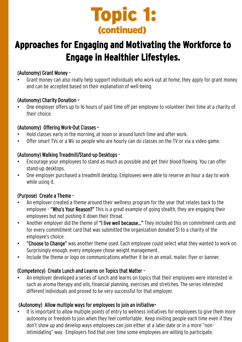

### **Approaches for Engaging and Motivating the Workforce to Engage in Healthier Lifestyles.**

#### (Autonomy) Grant Money –

• Grant money can also really help support individuals who work out at home; they apply for grant money and can be accepted based on their explanation of well-being.

#### (Autonomy) Charity Donation –

• One employer offers up to 16 hours of paid time off per employee to volunteer their time at a charity of their choice.

#### (Autonomy) Offering Work-Out Classes –

- Hold classes early in the morning, at noon or around lunch time and after work.
- Offer smart TVs or a Wii so people who are hourly can do classes on the TV or via a video game.

#### (Autonomy) Walking Treadmill/Stand-up Desktops -

- Encourage your employees to stand as much as possible and get their blood flowing. You can offer stand-up desktops.
- One employer purchased a treadmill desktop. Employees were able to reserve an hour a day to work while using it.

#### (Purpose) Create a Theme –

- An employer created a theme around their wellness program for the year that relates back to the employee – "Who's Your Reason?" This is a great example of going stealth, they are engaging their employees but not pushing it down their throat.
- Another employer did the theme of "I live well because..." They included this on commitment cards and for every commitment card that was submitted the organization donated \$1 to a charity of the employee's choice.
- "Choose to Change" was another theme used. Each employee could select what they wanted to work on. Surprisingly enough, every employee chose weight management.
- Include the theme or logo on communications whether it be in an email, mailer, flyer or banner.

#### (Competency) Create Lunch and Learns on Topics that Matter –

• An employer developed a series of lunch and learns on topics that their employees were interested in such as aroma therapy and oils, financial planning, exercises and stretches. The series interested different individuals and proved to be very successful for that employer.

#### (Autonomy) Allow multiple ways for employees to join an initiative–

aon t show up and develop ways employees can join either at a later date or in a more "non-<br>.intimidating" way. Employers find that over time some employees are willing to participate. It is important to allow multiple points of entry to wellness initiatives for employees to give them more autonomy or freedom to join when they feel comfortable. Keep inviting people each time even if they don't show up and develop ways employees can join either at a later date or in a more "non-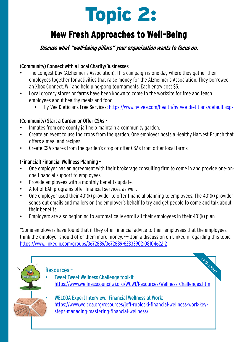

## **New Fresh Approaches to Well-Being**

#### Discuss what "well-being pillars" your organization wants to focus on.

#### (Community) Connect with a Local Charity/Businesses -

- The Longest Day (Alzheimer's Association). This campaign is one day where they gather their employees together for activities that raise money for the Alzheimer's Association. They borrowed an Xbox Connect, Wii and held ping-pong tournaments. Each entry cost \$5.
- Local grocery stores or farms have been known to come to the worksite for free and teach employees about healthy meals and food.
	- Hy-Vee Dieticians Free Services: <https://www.hy-vee.com/health/hy-vee-dietitians/default.aspx>

#### (Community) Start a Garden or Offer CSAs –

- Inmates from one county jail help maintain a community garden.
- Create an event to use the crops from the garden. One employer hosts a Healthy Harvest Brunch that offers a meal and recipes.
- Create CSA shares from the garden's crop or offer CSAs from other local farms.

#### (Financial) Financial Wellness Planning –

- One employer has an agreement with their brokerage consulting firm to come in and provide one-onone financial support to employees.
- Provide employees with a monthly benefits update.
- A lot of EAP programs offer financial services as well.
- One employer used their 401(k) provider to offer financial planning to employees. The 401(k) provider sends out emails and mailers on the employer's behalf to try and get people to come and talk about their benefits.
- Employers are also beginning to automatically enroll all their employees in their 401(k) plan.

\*Some employers have found that if they offer financial advice to their employees that the employees think the employer should offer them more money. --- Join a discussion on LinkedIn regarding this topic. <https://www.linkedin.com/groups/3672889/3672889-6233390210810462212>

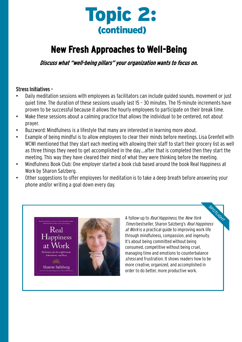

### **New Fresh Approaches to Well-Being**

Discuss what "well-being pillars" your organization wants to focus on.

#### Stress Initiatives –

- Daily meditation sessions with employees as facilitators can include guided sounds, movement or just quiet time. The duration of these sessions usually last 15 – 30 minutes. The 15-minute increments have proven to be successful because it allows the hourly employees to participate on their break time.
- Make these sessions about a calming practice that allows the individual to be centered, not about prayer.
- Buzzword: Mindfulness is a lifestyle that many are interested in learning more about.
- Example of being mindful is to allow employees to clear their minds before meetings. Lisa Grenfell with WCWI mentioned that they start each meeting with allowing their staff to start their grocery list as well as three things they need to get accomplished in the day….after that is completed then they start the meeting. This way they have cleared their mind of what they were thinking before the meeting.
- Mindfulness Book Club: One employer started a book club based around the book Real Happiness at Work by Sharon Salzberg.
- Other suggestions to offer employees for meditation is to take a deep breath before answering your phone and/or writing a goal down every day.



A follow-up to Real Happiness, the New York Manuschen<br>A follow-up to *Real Happiness*, the *New York*<br>Times bestseller, Sharon Salzberg's *Real Happiness* at Work is a practical guide to improving work life through mindfulness, compassion, and ingenuity. It's about being committed without being consumed, competitive without being cruel, managing time and emotions to counterbalance stress and frustration. It shows readers how to be more creative, organized, and accomplished in order to do better, more productive work.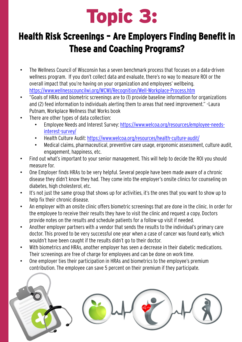# Topic 3:

## **Health Risk Screenings – Are Employers Finding Benefit in These and Coaching Programs?**

- The Wellness Council of Wisconsin has a seven benchmark process that focuses on a data-driven wellness program. If you don't collect data and evaluate, there's no way to measure ROI or the overall impact that you're having on your organization and employees' wellbeing. <https://www.wellnesscouncilwi.org/WCWI/Recognition/Well-Workplace-Process.htm>
- "Goals of HRAs and biometric screenings are to (1) provide baseline information for organizations and (2) feed information to individuals alerting them to areas that need improvement." –Laura Putnam, Workplace Wellness that Works book
- There are other types of data collection:
	- [Employee Needs and Interest Survey: https://www.welcoa.org/resources/employee-needs](https://www.welcoa.org/resources/employee-needs-interest-survey/)interest-survey/
	- Health Culture Audit:<https://www.welcoa.org/resources/health-culture-audit/>
	- Medical claims, pharmaceutical, preventive care usage, ergonomic assessment, culture audit, engagement, happiness, etc.
- Find out what's important to your senior management. This will help to decide the ROI you should measure for.
- One Employer finds HRAs to be very helpful. Several people have been made aware of a chronic disease they didn't know they had. They come into the employer's onsite clinics for counseling on diabetes, high cholesterol, etc.
- It's not just the same group that shows up for activities, it's the ones that you want to show up to help fix their chronic disease.
- An employer with an onsite clinic offers biometric screenings that are done in the clinic. In order for the employee to receive their results they have to visit the clinic and request a copy. Doctors provide notes on the results and schedule patients for a follow-up visit if needed.
- Another employer partners with a vendor that sends the results to the individual's primary care doctor. This proved to be very successful one year when a case of cancer was found early, which wouldn't have been caught if the results didn't go to their doctor.
- With biometrics and HRAs, another employer has seen a decrease in their diabetic medications. Their screenings are free of charge for employees and can be done on work time.
- One employer ties their participation in HRAs and biometrics to the employee's premium contribution. The employee can save 5 percent on their premium if they participate.

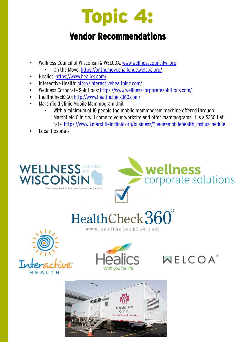## Topic 4:

### **Vendor Recommendations**

- Wellness Council of Wisconsin & WELCOA: [www.wellnesscouncilwi.org](http://www.wellnesscouncilwi.org/)
	- On the Move: <https://onthemovechallenge.welcoa.org/>
- Healics: <https://www.healics.com/>
- Interactive Health:<http://interactivehealthinc.com/>
- Wellness Corporate Solutions:<https://www.wellnesscorporatesolutions.com/>
- HealthCheck360:<http://www.healthcheck360.com/>
- Marshfield Clinic Mobile Mammogram Unit
	- With a minimum of 10 people the mobile mammogram machine offered through Marshfield Clinic will come to your worksite and offer mammograms. It is a \$250 flat rate. [https://www3.marshfieldclinic.org/business/?page=mobilehealth\\_mshuschedule](https://www3.marshfieldclinic.org/business/?page=mobilehealth_mshuschedule)
- Local Hospitals